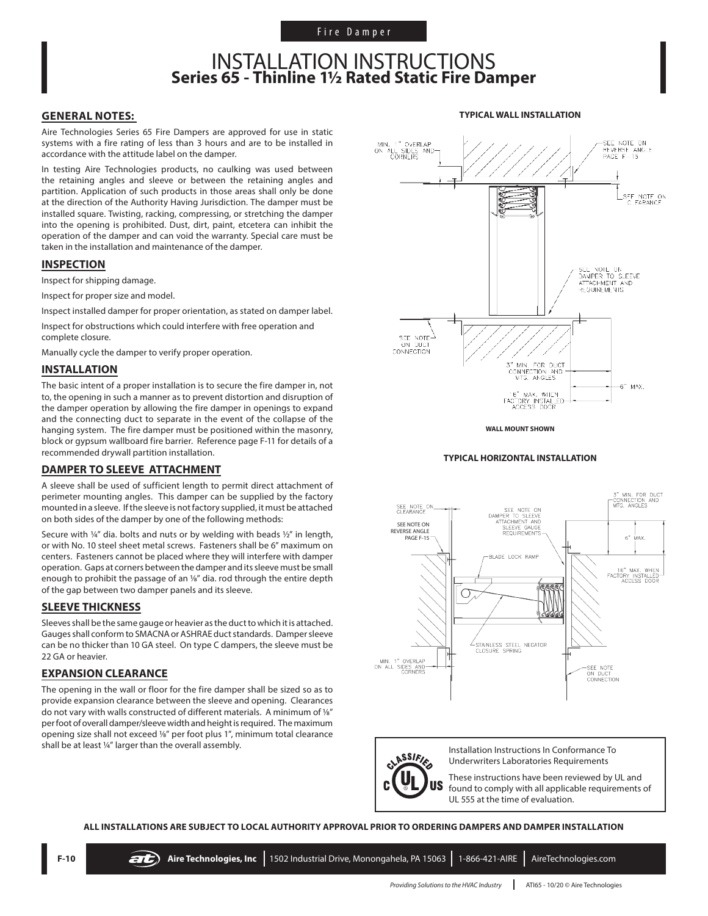## INSTALLATION INSTRUCTIONS **Series 65 - Thinline 1½ Rated Static Fire Damper**

### **GENERAL NOTES:**

Aire Technologies Series 65 Fire Dampers are approved for use in static systems with a fire rating of less than 3 hours and are to be installed in accordance with the attitude label on the damper.

In testing Aire Technologies products, no caulking was used between the retaining angles and sleeve or between the retaining angles and partition. Application of such products in those areas shall only be done at the direction of the Authority Having Jurisdiction. The damper must be installed square. Twisting, racking, compressing, or stretching the damper into the opening is prohibited. Dust, dirt, paint, etcetera can inhibit the operation of the damper and can void the warranty. Special care must be taken in the installation and maintenance of the damper.

### **INSPECTION**

Inspect for shipping damage.

Inspect for proper size and model.

Inspect installed damper for proper orientation, as stated on damper label.

Inspect for obstructions which could interfere with free operation and complete closure.

Manually cycle the damper to verify proper operation.

### **INSTALLATION**

The basic intent of a proper installation is to secure the fire damper in, not to, the opening in such a manner as to prevent distortion and disruption of the damper operation by allowing the fire damper in openings to expand and the connecting duct to separate in the event of the collapse of the hanging system. The fire damper must be positioned within the masonry, block or gypsum wallboard fire barrier. Reference page F-11 for details of a recommended drywall partition installation.

### **DAMPER TO SLEEVE ATTACHMENT**

A sleeve shall be used of sufficient length to permit direct attachment of perimeter mounting angles. This damper can be supplied by the factory mounted in a sleeve. If the sleeve is not factory supplied, it must be attached on both sides of the damper by one of the following methods:

Secure with  $\frac{1}{4}$ " dia. bolts and nuts or by welding with beads  $\frac{1}{2}$ " in length, or with No. 10 steel sheet metal screws. Fasteners shall be 6" maximum on centers. Fasteners cannot be placed where they will interfere with damper operation. Gaps at corners between the damper and its sleeve must be small enough to prohibit the passage of an 1/8" dia. rod through the entire depth of the gap between two damper panels and its sleeve.

#### **SLEEVE THICKNESS**

Sleeves shall be the same gauge or heavier as the duct to which it is attached. Gauges shall conform to SMACNA or ASHRAE duct standards. Damper sleeve can be no thicker than 10 GA steel. On type C dampers, the sleeve must be 22 GA or heavier.

### **EXPANSION CLEARANCE**

The opening in the wall or floor for the fire damper shall be sized so as to provide expansion clearance between the sleeve and opening. Clearances do not vary with walls constructed of different materials. A minimum of 1/8" per foot of overall damper/sleeve width and height is required. The maximum opening size shall not exceed 1/8" per foot plus 1", minimum total clearance shall be at least 1/4" larger than the overall assembly.



**TYPICAL WALL INSTALLATION**

**WALL MOUNT SHOWN**

### **TYPICAL HORIZONTAL INSTALLATION**





Installation Instructions In Conformance To Underwriters Laboratories Requirements

These instructions have been reviewed by UL and found to comply with all applicable requirements of UL 555 at the time of evaluation.

**ALL INSTALLATIONS ARE SUBJECT TO LOCAL AUTHORITY APPROVAL PRIOR TO ORDERING DAMPERS AND DAMPER INSTALLATION**

*Providing Solutions to the HVAC Industry* | ATI65 - 10/20 © Aire Technologies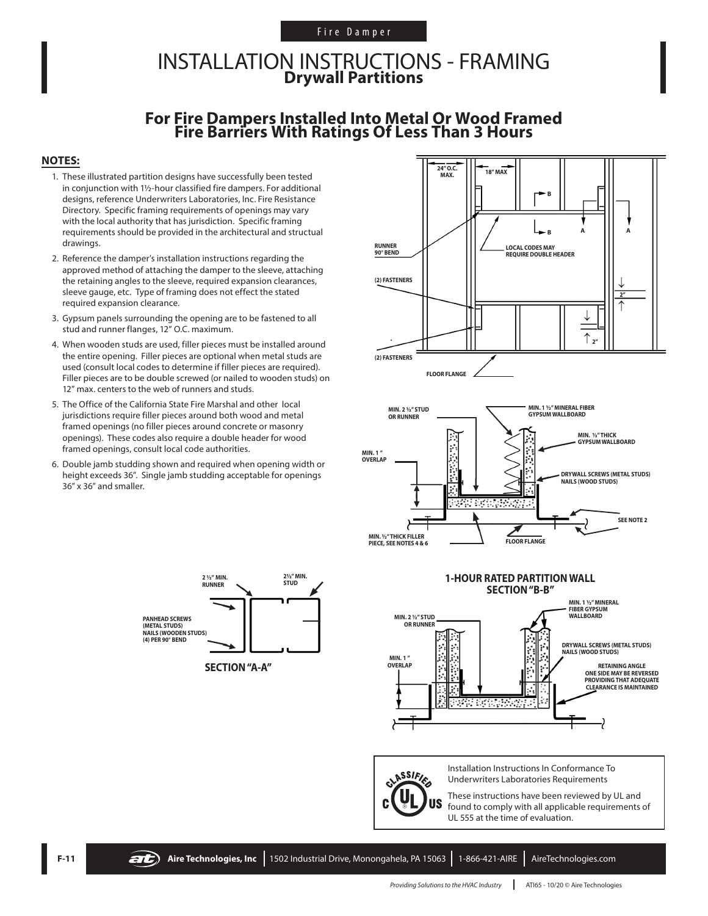### Fire Damper

## INSTALLATION INSTRUCTIONS - FRAMING **Drywall Partitions**

# **For Fire Dampers Installed Into Metal Or Wood Framed Fire Barriers With Ratings Of Less Than 3 Hours**

### **NOTES:**

- 1. These illustrated partition designs have successfully been tested in conjunction with 1½-hour classified fire dampers. For additional designs, reference Underwriters Laboratories, Inc. Fire Resistance Directory. Specific framing requirements of openings may vary with the local authority that has jurisdiction. Specific framing requirements should be provided in the architectural and structual drawings.
- 2. Reference the damper's installation instructions regarding the approved method of attaching the damper to the sleeve, attaching the retaining angles to the sleeve, required expansion clearances, sleeve gauge, etc. Type of framing does not effect the stated required expansion clearance.
- 3. Gypsum panels surrounding the opening are to be fastened to all stud and runner flanges, 12" O.C. maximum.
- 4. When wooden studs are used, filler pieces must be installed around the entire opening. Filler pieces are optional when metal studs are used (consult local codes to determine if filler pieces are required). Filler pieces are to be double screwed (or nailed to wooden studs) on 12" max. centers to the web of runners and studs.
- 5. The Office of the California State Fire Marshal and other local jurisdictions require filler pieces around both wood and metal framed openings (no filler pieces around concrete or masonry openings). These codes also require a double header for wood framed openings, consult local code authorities.
- 6. Double jamb studding shown and required when opening width or height exceeds 36". Single jamb studding acceptable for openings 36" x 36" and smaller.







CLASSIFIES

**US** 

Installation Instructions In Conformance To Underwriters Laboratories Requirements

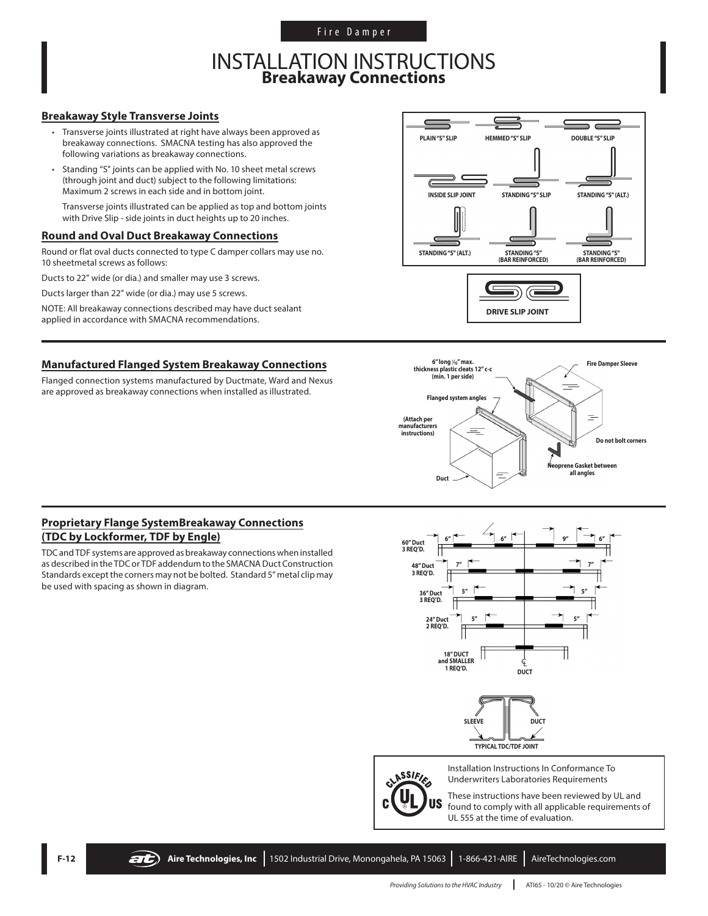Fire Damper

## INSTALLATION INSTRUCTIONS **Breakaway Connections**

### **Breakaway Style Transverse Joints**

- Transverse joints illustrated at right have always been approved as breakaway connections. SMACNA testing has also approved the following variations as breakaway connections.
- Standing "S" joints can be applied with No. 10 sheet metal screws (through joint and duct) subject to the following limitations: Maximum 2 screws in each side and in bottom joint.

Transverse joints illustrated can be applied as top and bottom joints with Drive Slip - side joints in duct heights up to 20 inches.

### **Round and Oval Duct Breakaway Connections**

Round or flat oval ducts connected to type C damper collars may use no. 10 sheetmetal screws as follows:

Ducts to 22" wide (or dia.) and smaller may use 3 screws.

Ducts larger than 22" wide (or dia.) may use 5 screws.

NOTE: All breakaway connections described may have duct sealant applied in accordance with SMACNA recommendations.

### **Manufactured Flanged System Breakaway Connections**

Flanged connection systems manufactured by Ductmate, Ward and Nexus are approved as breakaway connections when installed as illustrated.





### **Proprietary Flange SystemBreakaway Connections (TDC by Lockformer, TDF by Engle)**

TDC and TDF systems are approved as breakaway connections when installed as described in the TDC or TDF addendum to the SMACNA Duct Construction Standards except the corners may not be bolted. Standard 5" metal clip may be used with spacing as shown in diagram.



**TYPICAL TDC/TDF JOINT**



Installation Instructions In Conformance To Underwriters Laboratories Requirements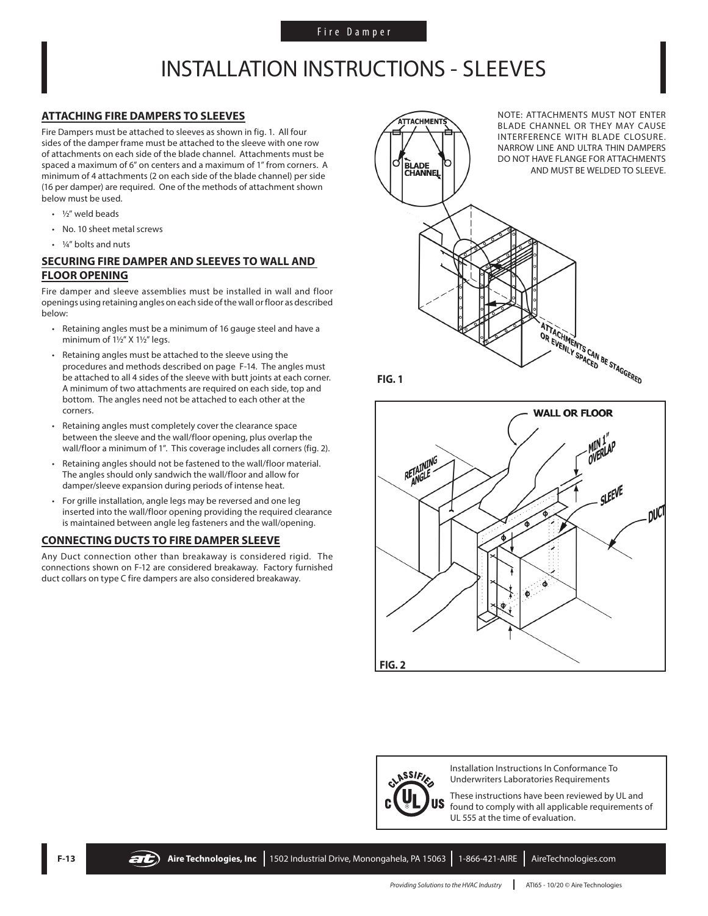## INSTALLATION INSTRUCTIONS - SLEEVES

### **ATTACHING FIRE DAMPERS TO SLEEVES**

Fire Dampers must be attached to sleeves as shown in fig. 1. All four sides of the damper frame must be attached to the sleeve with one row of attachments on each side of the blade channel. Attachments must be spaced a maximum of 6" on centers and a maximum of 1" from corners. A minimum of 4 attachments (2 on each side of the blade channel) per side (16 per damper) are required. One of the methods of attachment shown below must be used.

- ½" weld beads
- No. 10 sheet metal screws
- 1/4" bolts and nuts

### **SECURING FIRE DAMPER AND SLEEVES TO WALL AND FLOOR OPENING**

Fire damper and sleeve assemblies must be installed in wall and floor openings using retaining angles on each side of the wall or floor as described below:

- Retaining angles must be a minimum of 16 gauge steel and have a minimum of 1½" X 1½" legs.
- Retaining angles must be attached to the sleeve using the procedures and methods described on page F-14. The angles must be attached to all 4 sides of the sleeve with butt joints at each corner. A minimum of two attachments are required on each side, top and bottom. The angles need not be attached to each other at the corners.
- Retaining angles must completely cover the clearance space between the sleeve and the wall/floor opening, plus overlap the wall/floor a minimum of 1". This coverage includes all corners (fig. 2).
- Retaining angles should not be fastened to the wall/floor material. The angles should only sandwich the wall/floor and allow for damper/sleeve expansion during periods of intense heat.
- For grille installation, angle legs may be reversed and one leg inserted into the wall/floor opening providing the required clearance is maintained between angle leg fasteners and the wall/opening.

### **CONNECTING DUCTS TO FIRE DAMPER SLEEVE**

Any Duct connection other than breakaway is considered rigid. The connections shown on F-12 are considered breakaway. Factory furnished duct collars on type C fire dampers are also considered breakaway.









Installation Instructions In Conformance To Underwriters Laboratories Requirements

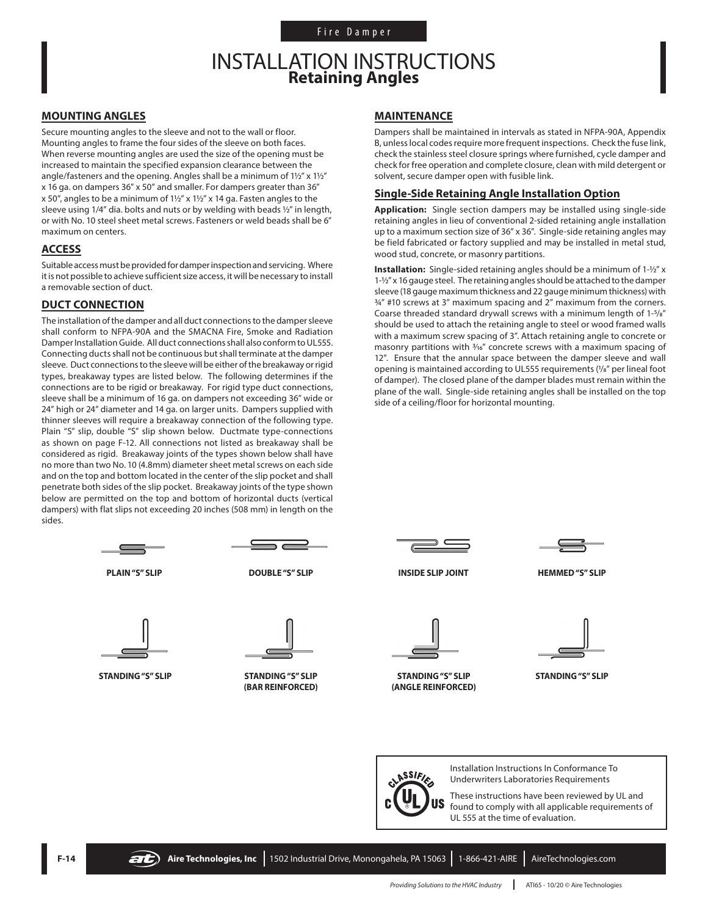## INSTALLATION INSTRUCTIONS **Retaining Angles**

### **MOUNTING ANGLES**

Secure mounting angles to the sleeve and not to the wall or floor. Mounting angles to frame the four sides of the sleeve on both faces. When reverse mounting angles are used the size of the opening must be increased to maintain the specified expansion clearance between the angle/fasteners and the opening. Angles shall be a minimum of 1½" x 1½" x 16 ga. on dampers 36" x 50" and smaller. For dampers greater than 36" x 50", angles to be a minimum of 1½" x 1½" x 14 ga. Fasten angles to the sleeve using 1/4" dia. bolts and nuts or by welding with beads ½" in length, or with No. 10 steel sheet metal screws. Fasteners or weld beads shall be 6" maximum on centers.

### **ACCESS**

Suitable access must be provided for damper inspection and servicing. Where it is not possible to achieve sufficient size access, it will be necessary to install a removable section of duct.

### **DUCT CONNECTION**

The installation of the damper and all duct connections to the damper sleeve shall conform to NFPA-90A and the SMACNA Fire, Smoke and Radiation Damper Installation Guide. All duct connections shall also conform to UL555. Connecting ducts shall not be continuous but shall terminate at the damper sleeve. Duct connections to the sleeve will be either of the breakaway or rigid types, breakaway types are listed below. The following determines if the connections are to be rigid or breakaway. For rigid type duct connections, sleeve shall be a minimum of 16 ga. on dampers not exceeding 36" wide or 24" high or 24" diameter and 14 ga. on larger units. Dampers supplied with thinner sleeves will require a breakaway connection of the following type. Plain "S" slip, double "S" slip shown below. Ductmate type-connections as shown on page F-12. All connections not listed as breakaway shall be considered as rigid. Breakaway joints of the types shown below shall have no more than two No. 10 (4.8mm) diameter sheet metal screws on each side and on the top and bottom located in the center of the slip pocket and shall penetrate both sides of the slip pocket. Breakaway joints of the type shown below are permitted on the top and bottom of horizontal ducts (vertical dampers) with flat slips not exceeding 20 inches (508 mm) in length on the sides.





**MAINTENANCE**

Dampers shall be maintained in intervals as stated in NFPA-90A, Appendix B, unless local codes require more frequent inspections. Check the fuse link, check the stainless steel closure springs where furnished, cycle damper and check for free operation and complete closure, clean with mild detergent or solvent, secure damper open with fusible link.

### **Single-Side Retaining Angle Installation Option**

**Application:** Single section dampers may be installed using single-side retaining angles in lieu of conventional 2-sided retaining angle installation up to a maximum section size of 36" x 36". Single-side retaining angles may be field fabricated or factory supplied and may be installed in metal stud, wood stud, concrete, or masonry partitions.

**Installation:** Single-sided retaining angles should be a minimum of 1-½" x 1-½" x 16 gauge steel. The retaining angles should be attached to the damper sleeve (18 gauge maximum thickness and 22 gauge minimum thickness) with  $34''$  #10 screws at 3<sup>"</sup> maximum spacing and 2" maximum from the corners. Coarse threaded standard drywall screws with a minimum length of 1-5/8" should be used to attach the retaining angle to steel or wood framed walls with a maximum screw spacing of 3". Attach retaining angle to concrete or masonry partitions with  $\frac{3}{16}$ " concrete screws with a maximum spacing of 12". Ensure that the annular space between the damper sleeve and wall opening is maintained according to UL555 requirements (1/8" per lineal foot of damper). The closed plane of the damper blades must remain within the plane of the wall. Single-side retaining angles shall be installed on the top side of a ceiling/floor for horizontal mounting.



**PLAIN "S" SLIP DOUBLE "S" SLIP INSIDE SLIP JOINT HEMMED "S" SLIP**



**STANDING "S" SLIP (ANGLE REINFORCED)**



**STANDING "S" SLIP**



Installation Instructions In Conformance To Underwriters Laboratories Requirements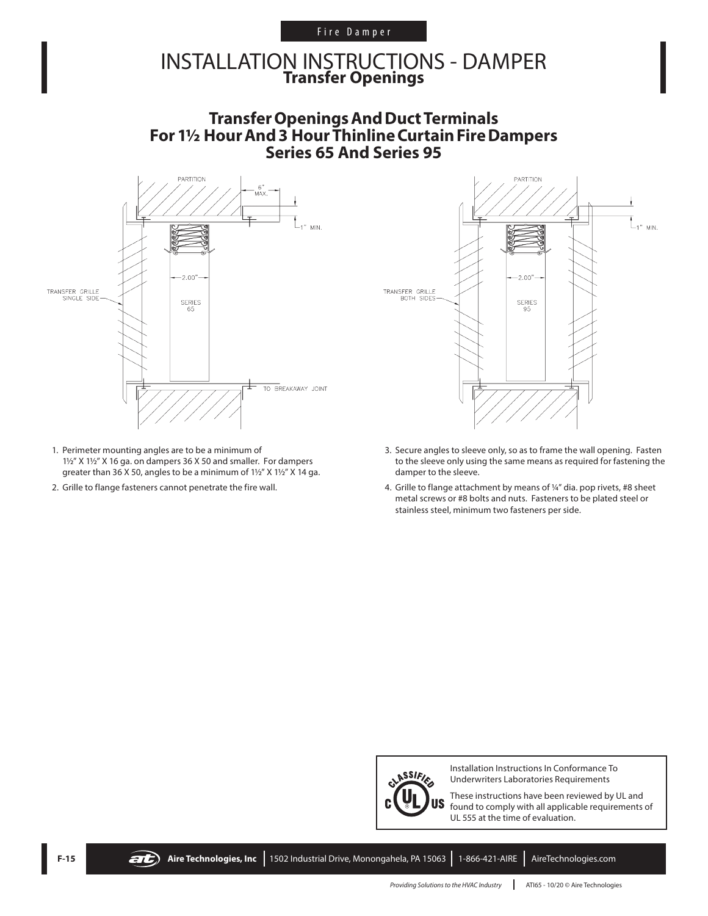### Fire Damper

## INSTALLATION INSTRUCTIONS - DAMPER **Transfer Openings**

### **TransferOpeningsAndDuctTerminals** For 1<sup>1</sup>/<sub>2</sub> Hour And 3 Hour Thinline Curtain Fire Dampers **Series 65 And Series 95**



- 1. Perimeter mounting angles are to be a minimum of 1½" X 1½" X 16 ga. on dampers 36 X 50 and smaller. For dampers greater than 36 X 50, angles to be a minimum of 1½" X 1½" X 14 ga.
- 2. Grille to flange fasteners cannot penetrate the fire wall.



- 3. Secure angles to sleeve only, so as to frame the wall opening. Fasten to the sleeve only using the same means as required for fastening the damper to the sleeve.
- 4. Grille to flange attachment by means of ¼" dia. pop rivets, #8 sheet metal screws or #8 bolts and nuts. Fasteners to be plated steel or stainless steel, minimum two fasteners per side.



Installation Instructions In Conformance To Underwriters Laboratories Requirements

These instructions have been reviewed by UL and found to comply with all applicable requirements of UL 555 at the time of evaluation.



**F-15 Aire Technologies, Inc** 1502 Industrial Drive, Monongahela, PA 15063 1-866-421-AIRE AireTechnologies.com